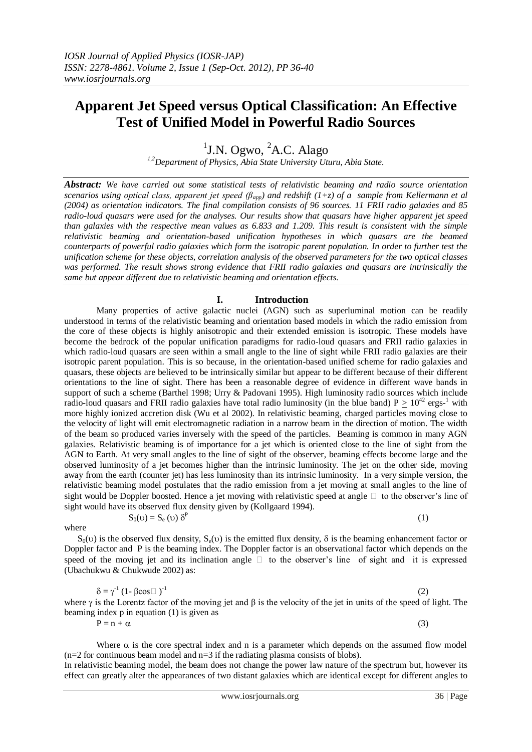# **Apparent Jet Speed versus Optical Classification: An Effective Test of Unified Model in Powerful Radio Sources**

<sup>1</sup>J.N. Ogwo, <sup>2</sup>A.C. Alago

*1,2Department of Physics, Abia State University Uturu, Abia State.*

*Abstract: We have carried out some statistical tests of relativistic beaming and radio source orientation scenarios using optical class, apparent jet speed (βapp) and redshift (1+z) of a sample from Kellermann et al (2004) as orientation indicators. The final compilation consists of 96 sources. 11 FRII radio galaxies and 85 radio-loud quasars were used for the analyses. Our results show that quasars have higher apparent jet speed than galaxies with the respective mean values as 6.833 and 1.209. This result is consistent with the simple relativistic beaming and orientation-based unification hypotheses in which quasars are the beamed counterparts of powerful radio galaxies which form the isotropic parent population. In order to further test the unification scheme for these objects, correlation analysis of the observed parameters for the two optical classes was performed. The result shows strong evidence that FRII radio galaxies and quasars are intrinsically the same but appear different due to relativistic beaming and orientation effects.* 

## **I. Introduction**

Many properties of active galactic nuclei (AGN) such as superluminal motion can be readily understood in terms of the relativistic beaming and orientation based models in which the radio emission from the core of these objects is highly anisotropic and their extended emission is isotropic. These models have become the bedrock of the popular unification paradigms for radio-loud quasars and FRII radio galaxies in which radio-loud quasars are seen within a small angle to the line of sight while FRII radio galaxies are their isotropic parent population. This is so because, in the orientation-based unified scheme for radio galaxies and quasars, these objects are believed to be intrinsically similar but appear to be different because of their different orientations to the line of sight. There has been a reasonable degree of evidence in different wave bands in support of such a scheme (Barthel 1998; Urry & Padovani 1995). High luminosity radio sources which include radio-loud quasars and FRII radio galaxies have total radio luminosity (in the blue band)  $P \ge 10^{42}$  ergs-<sup>1</sup> with more highly ionized accretion disk (Wu et al 2002). In relativistic beaming, charged particles moving close to the velocity of light will emit electromagnetic radiation in a narrow beam in the direction of motion. The width of the beam so produced varies inversely with the speed of the particles. Beaming is common in many AGN galaxies. Relativistic beaming is of importance for a jet which is oriented close to the line of sight from the AGN to Earth. At very small angles to the line of sight of the observer, beaming effects become large and the observed luminosity of a jet becomes higher than the intrinsic luminosity. The jet on the other side, moving away from the earth (counter jet) has less luminosity than its intrinsic luminosity. In a very simple version, the relativistic beaming model postulates that the radio emission from a jet moving at small angles to the line of sight would be Doppler boosted. Hence a jet moving with relativistic speed at angle  $\Box$  to the observer's line of sight would have its observed flux density given by (Kollgaard 1994).

where

 $S_0(v)$  is the observed flux density,  $S_e(v)$  is the emitted flux density,  $\delta$  is the beaming enhancement factor or Doppler factor and P is the beaming index. The Doppler factor is an observational factor which depends on the speed of the moving jet and its inclination angle  $\Box$  to the observer's line of sight and it is expressed (Ubachukwu & Chukwude 2002) as:

$$
\delta = \gamma^1 (1 - \beta \cos \Box)^{-1}
$$
 (2)

(1)

where  $\gamma$  is the Lorentz factor of the moving jet and  $\beta$  is the velocity of the jet in units of the speed of light. The beaming index p in equation (1) is given as

 $P = n + \alpha$  (3)

 $S_0(v) = S_e(v) \delta^P$ 

Where  $\alpha$  is the core spectral index and n is a parameter which depends on the assumed flow model  $(n=2$  for continuous beam model and  $n=3$  if the radiating plasma consists of blobs).

In relativistic beaming model, the beam does not change the power law nature of the spectrum but, however its effect can greatly alter the appearances of two distant galaxies which are identical except for different angles to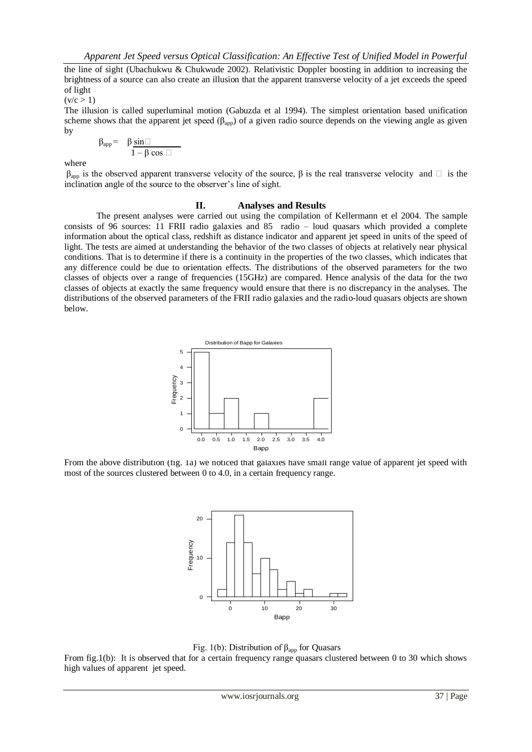the line of sight (Ubachukwu & Chukwude 2002). Relativistic Doppler boosting in addition to increasing the brightness of a source can also create an illusion that the apparent transverse velocity of a jet exceeds the speed of light

 $(v/c > 1)$ 

The illusion is called superluminal motion (Gabuzda et al 1994). The simplest orientation based unification scheme shows that the apparent jet speed ( $\beta_{app}$ ) of a given radio source depends on the viewing angle as given by

$$
\beta_{app} = \beta \sin \Box\n \overline{\Box}\n \overline{1 - \beta \cos \Box}
$$

where

 $β<sub>ann</sub>$  is the observed apparent transverse velocity of the source,  $β$  is the real transverse velocity and  $\Box$  is the inclination angle of the source to the observer's line of sight.

### **II. Analyses and Results**

The present analyses were carried out using the compilation of Kellermann et el 2004. The sample consists of 96 sources: 11 FRII radio galaxies and 85 radio – loud quasars which provided a complete information about the optical class, redshift as distance indicator and apparent jet speed in units of the speed of light. The tests are aimed at understanding the behavior of the two classes of objects at relatively near physical conditions. That is to determine if there is a continuity in the properties of the two classes, which indicates that any difference could be due to orientation effects. The distributions of the observed parameters for the two classes of objects over a range of frequencies (15GHz) are compared. Hence analysis of the data for the two classes of objects at exactly the same frequency would ensure that there is no discrepancy in the analyses. The distributions of the observed parameters of the FRII radio galaxies and the radio-loud quasars objects are shown below.



From the above distribution (fig. 1a) we noticed that galaxies have small range value of apparent jet speed with most of the sources clustered between 0 to 4.0, in a certain frequency range.



Fig. 1(b): Distribution of  $\beta_{app}$  for Quasars

From fig.1(b): It is observed that for a certain frequency range quasars clustered between 0 to 30 which shows high values of apparent jet speed.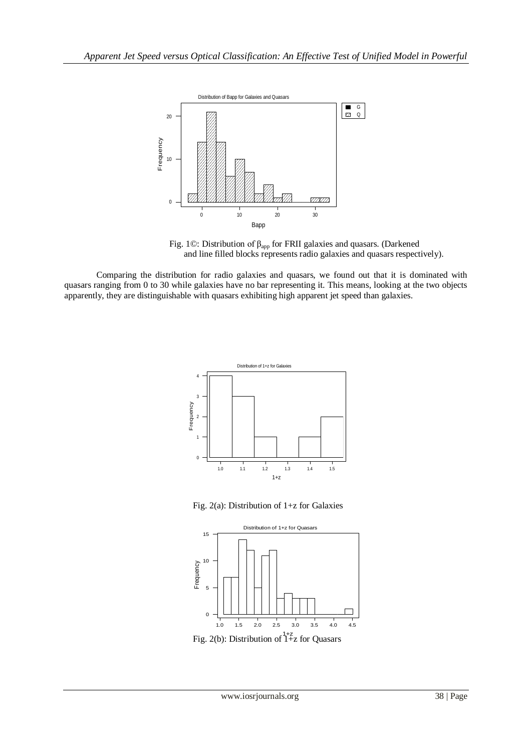

Fig. 1©: Distribution of  $\beta_{app}$  for FRII galaxies and quasars. (Darkened and line filled blocks represents radio galaxies and quasars respectively).

Comparing the distribution for radio galaxies and quasars, we found out that it is dominated with quasars ranging from 0 to 30 while galaxies have no bar representing it. This means, looking at the two objects apparently, they are distinguishable with quasars exhibiting high apparent jet speed than galaxies.



Fig. 2(a): Distribution of 1+z for Galaxies



Fig. 2(b): Distribution of  $1+z$  for Quasars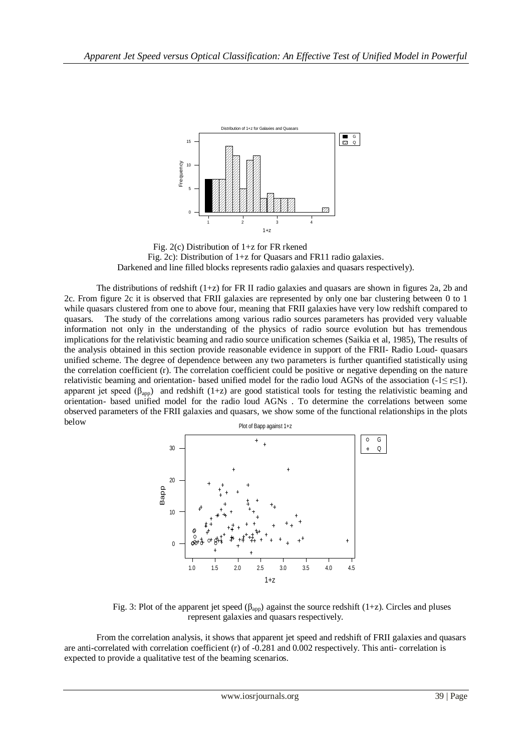![](_page_3_Figure_1.jpeg)

Fig. 2(c) Distribution of 1+z for FR rkened Fig. 2c): Distribution of 1+z for Quasars and FR11 radio galaxies. Darkened and line filled blocks represents radio galaxies and quasars respectively).

The distributions of redshift  $(1+z)$  for FR II radio galaxies and quasars are shown in figures 2a, 2b and 2c. From figure 2c it is observed that FRII galaxies are represented by only one bar clustering between 0 to 1 while quasars clustered from one to above four, meaning that FRII galaxies have very low redshift compared to quasars. The study of the correlations among various radio sources parameters has provided very valuable information not only in the understanding of the physics of radio source evolution but has tremendous implications for the relativistic beaming and radio source unification schemes (Saikia et al, 1985), The results of the analysis obtained in this section provide reasonable evidence in support of the FRII- Radio Loud- quasars unified scheme. The degree of dependence between any two parameters is further quantified statistically using the correlation coefficient (r). The correlation coefficient could be positive or negative depending on the nature relativistic beaming and orientation- based unified model for the radio loud AGNs of the association (-1≤ r≤1). apparent jet speed ( $\beta_{\text{app}}$ ) and redshift (1+z) are good statistical tools for testing the relativistic beaming and orientation- based unified model for the radio loud AGNs . To determine the correlations between some observed parameters of the FRII galaxies and quasars, we show some of the functional relationships in the plots below

![](_page_3_Figure_4.jpeg)

Fig. 3: Plot of the apparent jet speed ( $\beta_{app}$ ) against the source redshift (1+z). Circles and pluses represent galaxies and quasars respectively.

From the correlation analysis, it shows that apparent jet speed and redshift of FRII galaxies and quasars are anti-correlated with correlation coefficient (r) of -0.281 and 0.002 respectively. This anti- correlation is expected to provide a qualitative test of the beaming scenarios.